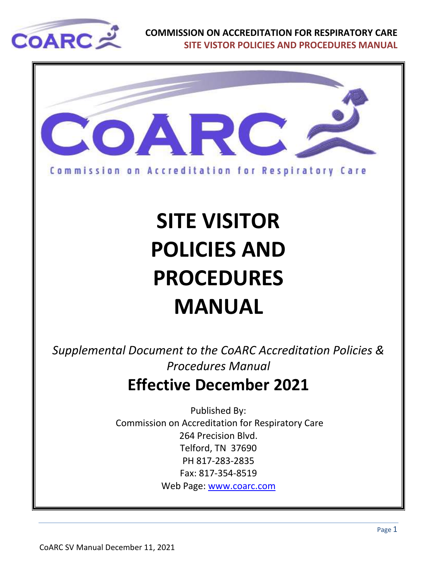



# **SITE VISITOR POLICIES AND PROCEDURES MANUAL**

*Supplemental Document to the CoARC Accreditation Policies & Procedures Manual* **Effective December 2021**

> Published By: Commission on Accreditation for Respiratory Care 264 Precision Blvd. Telford, TN 37690 PH 817-283-2835 Fax: 817-354-8519 Web Page: [www.coarc.com](http://www.coarc.com/)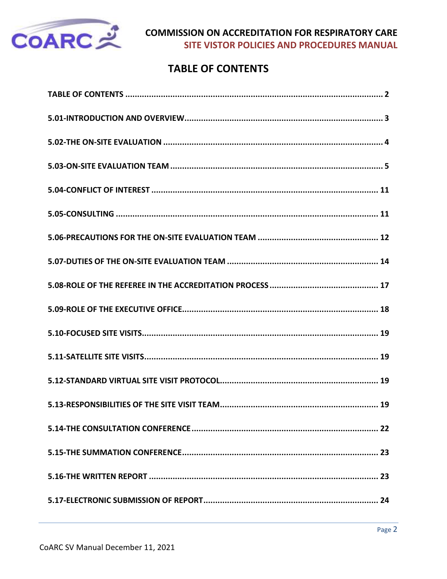

# **TABLE OF CONTENTS**

<span id="page-1-0"></span>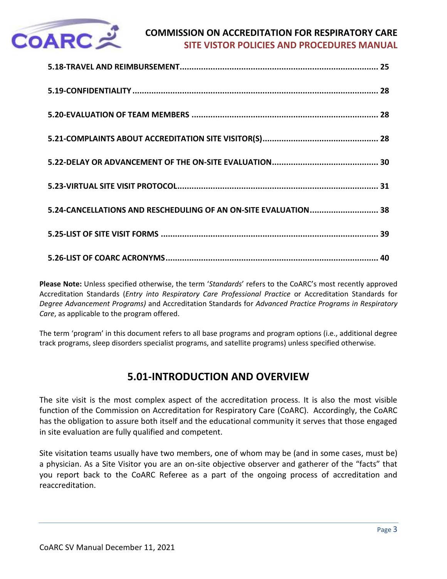

| 5.24-CANCELLATIONS AND RESCHEDULING OF AN ON-SITE EVALUATION 38 |  |
|-----------------------------------------------------------------|--|
|                                                                 |  |
|                                                                 |  |

**Please Note:** Unless specified otherwise, the term '*Standards*' refers to the CoARC's most recently approved Accreditation Standards (*Entry into Respiratory Care Professional Practice* or Accreditation Standards for *Degree Advancement Programs)* and Accreditation Standards for *Advanced Practice Programs in Respiratory Care*, as applicable to the program offered.

The term 'program' in this document refers to all base programs and program options (i.e., additional degree track programs, sleep disorders specialist programs, and satellite programs) unless specified otherwise.

# **5.01-INTRODUCTION AND OVERVIEW**

<span id="page-2-0"></span>The site visit is the most complex aspect of the accreditation process. It is also the most visible function of the Commission on Accreditation for Respiratory Care (CoARC). Accordingly, the CoARC has the obligation to assure both itself and the educational community it serves that those engaged in site evaluation are fully qualified and competent.

Site visitation teams usually have two members, one of whom may be (and in some cases, must be) a physician. As a Site Visitor you are an on-site objective observer and gatherer of the "facts" that you report back to the CoARC Referee as a part of the ongoing process of accreditation and reaccreditation.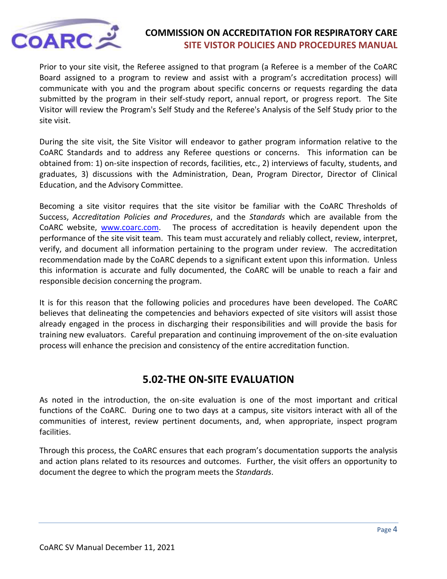

Prior to your site visit, the Referee assigned to that program (a Referee is a member of the CoARC Board assigned to a program to review and assist with a program's accreditation process) will communicate with you and the program about specific concerns or requests regarding the data submitted by the program in their self-study report, annual report, or progress report. The Site Visitor will review the Program's Self Study and the Referee's Analysis of the Self Study prior to the site visit.

During the site visit, the Site Visitor will endeavor to gather program information relative to the CoARC Standards and to address any Referee questions or concerns. This information can be obtained from: 1) on-site inspection of records, facilities, etc., 2) interviews of faculty, students, and graduates, 3) discussions with the Administration, Dean, Program Director, Director of Clinical Education, and the Advisory Committee.

Becoming a site visitor requires that the site visitor be familiar with the CoARC Thresholds of Success, *Accreditation Policies and Procedures*, and the *Standards* which are available from the CoARC website, [www.coarc.com.](http://www.coarc.com/) The process of accreditation is heavily dependent upon the performance of the site visit team. This team must accurately and reliably collect, review, interpret, verify, and document all information pertaining to the program under review. The accreditation recommendation made by the CoARC depends to a significant extent upon this information. Unless this information is accurate and fully documented, the CoARC will be unable to reach a fair and responsible decision concerning the program.

It is for this reason that the following policies and procedures have been developed. The CoARC believes that delineating the competencies and behaviors expected of site visitors will assist those already engaged in the process in discharging their responsibilities and will provide the basis for training new evaluators. Careful preparation and continuing improvement of the on-site evaluation process will enhance the precision and consistency of the entire accreditation function.

# **5.02-THE ON-SITE EVALUATION**

<span id="page-3-0"></span>As noted in the introduction, the on-site evaluation is one of the most important and critical functions of the CoARC. During one to two days at a campus, site visitors interact with all of the communities of interest, review pertinent documents, and, when appropriate, inspect program facilities.

Through this process, the CoARC ensures that each program's documentation supports the analysis and action plans related to its resources and outcomes. Further, the visit offers an opportunity to document the degree to which the program meets the *Standards*.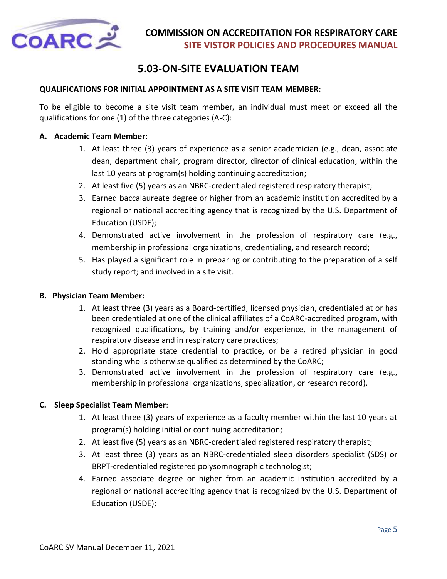

# **5.03-ON-SITE EVALUATION TEAM**

### <span id="page-4-0"></span>**QUALIFICATIONS FOR INITIAL APPOINTMENT AS A SITE VISIT TEAM MEMBER:**

To be eligible to become a site visit team member, an individual must meet or exceed all the qualifications for one (1) of the three categories (A-C):

#### **A. Academic Team Member**:

- 1. At least three (3) years of experience as a senior academician (e.g., dean, associate dean, department chair, program director, director of clinical education, within the last 10 years at program(s) holding continuing accreditation;
- 2. At least five (5) years as an NBRC-credentialed registered respiratory therapist;
- 3. Earned baccalaureate degree or higher from an academic institution accredited by a regional or national accrediting agency that is recognized by the U.S. Department of Education (USDE);
- 4. Demonstrated active involvement in the profession of respiratory care (e.g., membership in professional organizations, credentialing, and research record;
- 5. Has played a significant role in preparing or contributing to the preparation of a self study report; and involved in a site visit.

### **B. Physician Team Member:**

- 1. At least three (3) years as a Board-certified, licensed physician, credentialed at or has been credentialed at one of the clinical affiliates of a CoARC-accredited program, with recognized qualifications, by training and/or experience, in the management of respiratory disease and in respiratory care practices;
- 2. Hold appropriate state credential to practice, or be a retired physician in good standing who is otherwise qualified as determined by the CoARC;
- 3. Demonstrated active involvement in the profession of respiratory care (e.g., membership in professional organizations, specialization, or research record).

### **C. Sleep Specialist Team Member**:

- 1. At least three (3) years of experience as a faculty member within the last 10 years at program(s) holding initial or continuing accreditation;
- 2. At least five (5) years as an NBRC-credentialed registered respiratory therapist;
- 3. At least three (3) years as an NBRC-credentialed sleep disorders specialist (SDS) or BRPT-credentialed registered polysomnographic technologist;
- 4. Earned associate degree or higher from an academic institution accredited by a regional or national accrediting agency that is recognized by the U.S. Department of Education (USDE);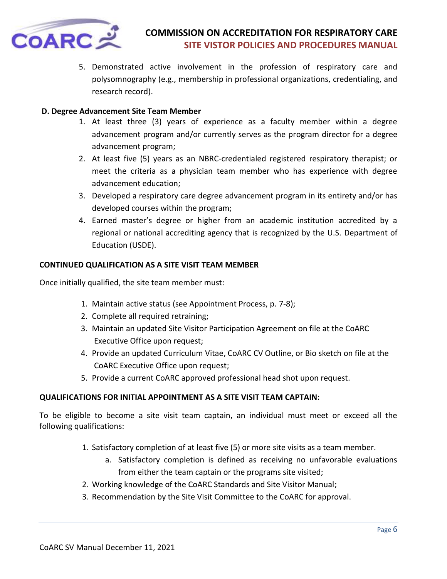

5. Demonstrated active involvement in the profession of respiratory care and polysomnography (e.g., membership in professional organizations, credentialing, and research record).

### **D. Degree Advancement Site Team Member**

- 1. At least three (3) years of experience as a faculty member within a degree advancement program and/or currently serves as the program director for a degree advancement program;
- 2. At least five (5) years as an NBRC-credentialed registered respiratory therapist; or meet the criteria as a physician team member who has experience with degree advancement education;
- 3. Developed a respiratory care degree advancement program in its entirety and/or has developed courses within the program;
- 4. Earned master's degree or higher from an academic institution accredited by a regional or national accrediting agency that is recognized by the U.S. Department of Education (USDE).

#### **CONTINUED QUALIFICATION AS A SITE VISIT TEAM MEMBER**

Once initially qualified, the site team member must:

- 1. Maintain active status (see Appointment Process, p. 7-8);
- 2. Complete all required retraining;
- 3. Maintain an updated Site Visitor Participation Agreement on file at the CoARC Executive Office upon request;
- 4. Provide an updated Curriculum Vitae, CoARC CV Outline, or Bio sketch on file at the CoARC Executive Office upon request;
- 5. Provide a current CoARC approved professional head shot upon request.

#### **QUALIFICATIONS FOR INITIAL APPOINTMENT AS A SITE VISIT TEAM CAPTAIN:**

To be eligible to become a site visit team captain, an individual must meet or exceed all the following qualifications:

- 1. Satisfactory completion of at least five (5) or more site visits as a team member.
	- a. Satisfactory completion is defined as receiving no unfavorable evaluations from either the team captain or the programs site visited;
- 2. Working knowledge of the CoARC Standards and Site Visitor Manual;
- 3. Recommendation by the Site Visit Committee to the CoARC for approval.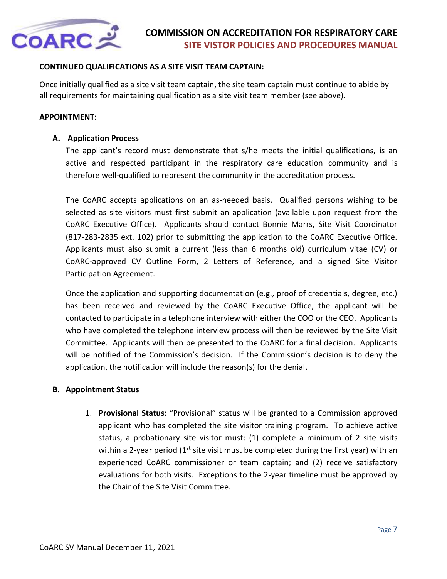

### **CONTINUED QUALIFICATIONS AS A SITE VISIT TEAM CAPTAIN:**

Once initially qualified as a site visit team captain, the site team captain must continue to abide by all requirements for maintaining qualification as a site visit team member (see above).

### **APPOINTMENT:**

### **A. Application Process**

The applicant's record must demonstrate that s/he meets the initial qualifications, is an active and respected participant in the respiratory care education community and is therefore well-qualified to represent the community in the accreditation process.

The CoARC accepts applications on an as-needed basis. Qualified persons wishing to be selected as site visitors must first submit an application (available upon request from the CoARC Executive Office). Applicants should contact Bonnie Marrs, Site Visit Coordinator (817-283-2835 ext. 102) prior to submitting the application to the CoARC Executive Office. Applicants must also submit a current (less than 6 months old) curriculum vitae (CV) or CoARC-approved CV Outline Form, 2 Letters of Reference, and a signed Site Visitor Participation Agreement.

Once the application and supporting documentation (e.g., proof of credentials, degree, etc.) has been received and reviewed by the CoARC Executive Office, the applicant will be contacted to participate in a telephone interview with either the COO or the CEO. Applicants who have completed the telephone interview process will then be reviewed by the Site Visit Committee. Applicants will then be presented to the CoARC for a final decision. Applicants will be notified of the Commission's decision. If the Commission's decision is to deny the application, the notification will include the reason(s) for the denial**.**

#### **B. Appointment Status**

1. **Provisional Status:** "Provisional" status will be granted to a Commission approved applicant who has completed the site visitor training program. To achieve active status, a probationary site visitor must: (1) complete a minimum of 2 site visits within a 2-year period  $(1^{st}$  site visit must be completed during the first year) with an experienced CoARC commissioner or team captain; and (2) receive satisfactory evaluations for both visits. Exceptions to the 2-year timeline must be approved by the Chair of the Site Visit Committee.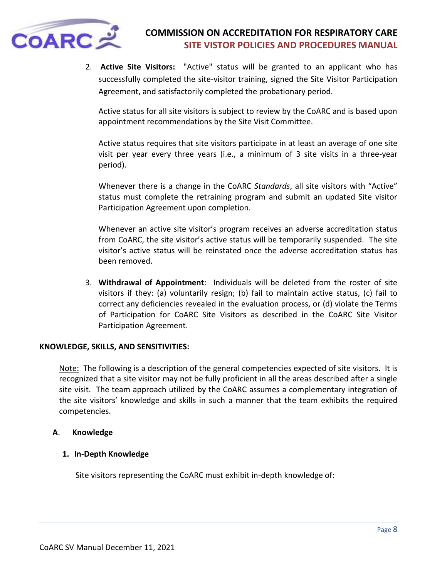

2. **Active Site Visitors:** "Active" status will be granted to an applicant who has successfully completed the site-visitor training, signed the Site Visitor Participation Agreement, and satisfactorily completed the probationary period.

Active status for all site visitors is subject to review by the CoARC and is based upon appointment recommendations by the Site Visit Committee.

Active status requires that site visitors participate in at least an average of one site visit per year every three years (i.e., a minimum of 3 site visits in a three-year period).

Whenever there is a change in the CoARC *Standards*, all site visitors with "Active" status must complete the retraining program and submit an updated Site visitor Participation Agreement upon completion.

Whenever an active site visitor's program receives an adverse accreditation status from CoARC, the site visitor's active status will be temporarily suspended. The site visitor's active status will be reinstated once the adverse accreditation status has been removed.

3. **Withdrawal of Appointment**: Individuals will be deleted from the roster of site visitors if they: (a) voluntarily resign; (b) fail to maintain active status, (c) fail to correct any deficiencies revealed in the evaluation process, or (d) violate the Terms of Participation for CoARC Site Visitors as described in the CoARC Site Visitor Participation Agreement.

#### **KNOWLEDGE, SKILLS, AND SENSITIVITIES:**

Note: The following is a description of the general competencies expected of site visitors. It is recognized that a site visitor may not be fully proficient in all the areas described after a single site visit. The team approach utilized by the CoARC assumes a complementary integration of the site visitors' knowledge and skills in such a manner that the team exhibits the required competencies.

#### **A**. **Knowledge**

#### **1. In-Depth Knowledge**

Site visitors representing the CoARC must exhibit in-depth knowledge of: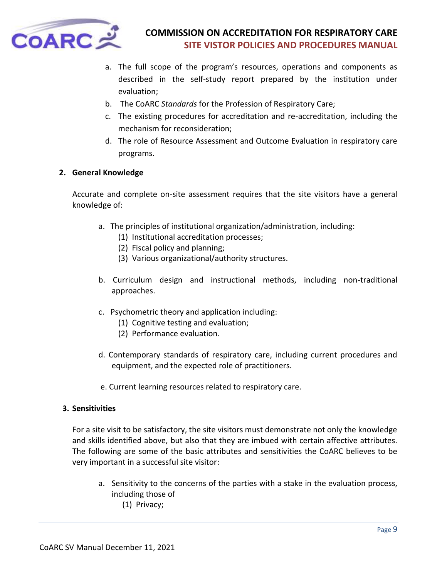

- a. The full scope of the program's resources, operations and components as described in the self-study report prepared by the institution under evaluation;
- b. The CoARC *Standards* for the Profession of Respiratory Care;
- c. The existing procedures for accreditation and re-accreditation, including the mechanism for reconsideration;
- d. The role of Resource Assessment and Outcome Evaluation in respiratory care programs.

### **2. General Knowledge**

Accurate and complete on-site assessment requires that the site visitors have a general knowledge of:

- a. The principles of institutional organization/administration, including:
	- (1) Institutional accreditation processes;
	- (2) Fiscal policy and planning;
	- (3) Various organizational/authority structures.
- b. Curriculum design and instructional methods, including non-traditional approaches.
- c. Psychometric theory and application including:
	- (1) Cognitive testing and evaluation;
	- (2) Performance evaluation.
- d. Contemporary standards of respiratory care, including current procedures and equipment, and the expected role of practitioners.
- e. Current learning resources related to respiratory care.

#### **3. Sensitivities**

For a site visit to be satisfactory, the site visitors must demonstrate not only the knowledge and skills identified above, but also that they are imbued with certain affective attributes. The following are some of the basic attributes and sensitivities the CoARC believes to be very important in a successful site visitor:

a. Sensitivity to the concerns of the parties with a stake in the evaluation process, including those of (1) Privacy;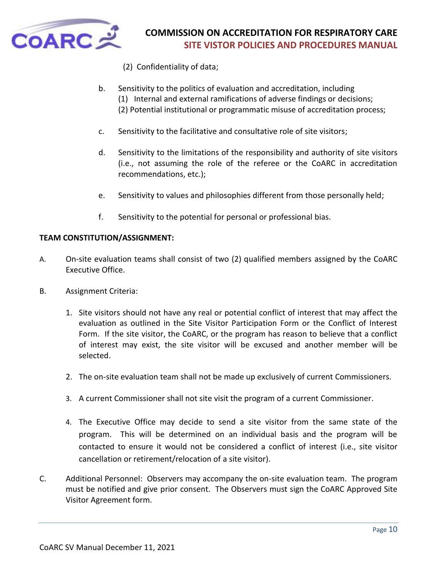

- (2) Confidentiality of data;
- b. Sensitivity to the politics of evaluation and accreditation, including
	- (1) Internal and external ramifications of adverse findings or decisions;
	- (2) Potential institutional or programmatic misuse of accreditation process;
- c. Sensitivity to the facilitative and consultative role of site visitors;
- d. Sensitivity to the limitations of the responsibility and authority of site visitors (i.e., not assuming the role of the referee or the CoARC in accreditation recommendations, etc.);
- e. Sensitivity to values and philosophies different from those personally held;
- f. Sensitivity to the potential for personal or professional bias.

### **TEAM CONSTITUTION/ASSIGNMENT:**

- A. On-site evaluation teams shall consist of two (2) qualified members assigned by the CoARC Executive Office.
- B. Assignment Criteria:
	- 1. Site visitors should not have any real or potential conflict of interest that may affect the evaluation as outlined in the Site Visitor Participation Form or the Conflict of Interest Form. If the site visitor, the CoARC, or the program has reason to believe that a conflict of interest may exist, the site visitor will be excused and another member will be selected.
	- 2. The on-site evaluation team shall not be made up exclusively of current Commissioners.
	- 3. A current Commissioner shall not site visit the program of a current Commissioner.
	- 4. The Executive Office may decide to send a site visitor from the same state of the program. This will be determined on an individual basis and the program will be contacted to ensure it would not be considered a conflict of interest (i.e., site visitor cancellation or retirement/relocation of a site visitor).
- C. Additional Personnel: Observers may accompany the on-site evaluation team. The program must be notified and give prior consent. The Observers must sign the CoARC Approved Site Visitor Agreement form.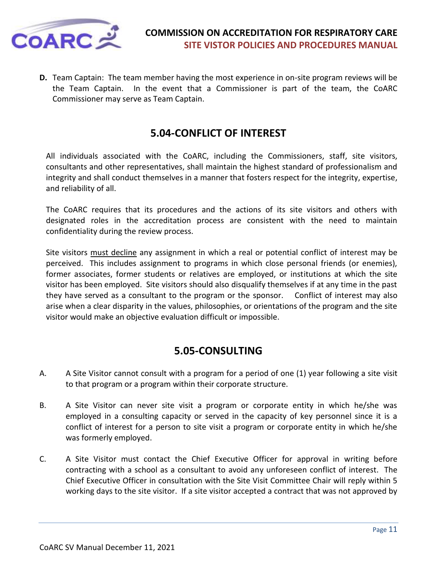

**D.** Team Captain: The team member having the most experience in on-site program reviews will be the Team Captain. In the event that a Commissioner is part of the team, the CoARC Commissioner may serve as Team Captain.

# **5.04-CONFLICT OF INTEREST**

<span id="page-10-0"></span>All individuals associated with the CoARC, including the Commissioners, staff, site visitors, consultants and other representatives, shall maintain the highest standard of professionalism and integrity and shall conduct themselves in a manner that fosters respect for the integrity, expertise, and reliability of all.

The CoARC requires that its procedures and the actions of its site visitors and others with designated roles in the accreditation process are consistent with the need to maintain confidentiality during the review process.

Site visitors must decline any assignment in which a real or potential conflict of interest may be perceived. This includes assignment to programs in which close personal friends (or enemies), former associates, former students or relatives are employed, or institutions at which the site visitor has been employed. Site visitors should also disqualify themselves if at any time in the past they have served as a consultant to the program or the sponsor. Conflict of interest may also arise when a clear disparity in the values, philosophies, or orientations of the program and the site visitor would make an objective evaluation difficult or impossible.

# **5.05-CONSULTING**

- <span id="page-10-1"></span>A. A Site Visitor cannot consult with a program for a period of one (1) year following a site visit to that program or a program within their corporate structure.
- B. A Site Visitor can never site visit a program or corporate entity in which he/she was employed in a consulting capacity or served in the capacity of key personnel since it is a conflict of interest for a person to site visit a program or corporate entity in which he/she was formerly employed.
- C. A Site Visitor must contact the Chief Executive Officer for approval in writing before contracting with a school as a consultant to avoid any unforeseen conflict of interest. The Chief Executive Officer in consultation with the Site Visit Committee Chair will reply within 5 working days to the site visitor. If a site visitor accepted a contract that was not approved by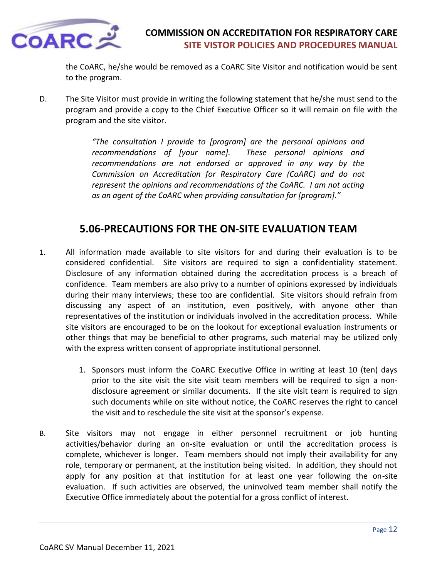

the CoARC, he/she would be removed as a CoARC Site Visitor and notification would be sent to the program.

D. The Site Visitor must provide in writing the following statement that he/she must send to the program and provide a copy to the Chief Executive Officer so it will remain on file with the program and the site visitor.

> *"The consultation I provide to [program] are the personal opinions and recommendations of [your name]. These personal opinions and recommendations are not endorsed or approved in any way by the Commission on Accreditation for Respiratory Care (CoARC) and do not represent the opinions and recommendations of the CoARC. I am not acting as an agent of the CoARC when providing consultation for [program]."*

# **5.06-PRECAUTIONS FOR THE ON-SITE EVALUATION TEAM**

- <span id="page-11-0"></span>1. All information made available to site visitors for and during their evaluation is to be considered confidential. Site visitors are required to sign a confidentiality statement. Disclosure of any information obtained during the accreditation process is a breach of confidence. Team members are also privy to a number of opinions expressed by individuals during their many interviews; these too are confidential. Site visitors should refrain from discussing any aspect of an institution, even positively, with anyone other than representatives of the institution or individuals involved in the accreditation process. While site visitors are encouraged to be on the lookout for exceptional evaluation instruments or other things that may be beneficial to other programs, such material may be utilized only with the express written consent of appropriate institutional personnel.
	- 1. Sponsors must inform the CoARC Executive Office in writing at least 10 (ten) days prior to the site visit the site visit team members will be required to sign a nondisclosure agreement or similar documents. If the site visit team is required to sign such documents while on site without notice, the CoARC reserves the right to cancel the visit and to reschedule the site visit at the sponsor's expense.
- B. Site visitors may not engage in either personnel recruitment or job hunting activities/behavior during an on-site evaluation or until the accreditation process is complete, whichever is longer. Team members should not imply their availability for any role, temporary or permanent, at the institution being visited. In addition, they should not apply for any position at that institution for at least one year following the on-site evaluation. If such activities are observed, the uninvolved team member shall notify the Executive Office immediately about the potential for a gross conflict of interest.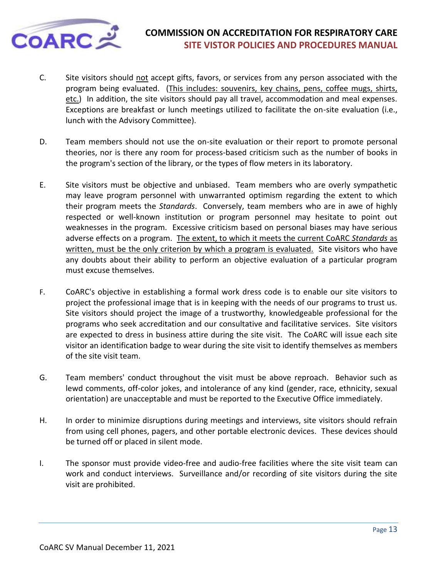

- C. Site visitors should not accept gifts, favors, or services from any person associated with the program being evaluated. (This includes: souvenirs, key chains, pens, coffee mugs, shirts, etc.) In addition, the site visitors should pay all travel, accommodation and meal expenses. Exceptions are breakfast or lunch meetings utilized to facilitate the on-site evaluation (i.e., lunch with the Advisory Committee).
- D. Team members should not use the on-site evaluation or their report to promote personal theories, nor is there any room for process-based criticism such as the number of books in the program's section of the library, or the types of flow meters in its laboratory.
- E. Site visitors must be objective and unbiased. Team members who are overly sympathetic may leave program personnel with unwarranted optimism regarding the extent to which their program meets the *Standards*. Conversely, team members who are in awe of highly respected or well-known institution or program personnel may hesitate to point out weaknesses in the program. Excessive criticism based on personal biases may have serious adverse effects on a program. The extent, to which it meets the current CoARC *Standards* as written, must be the only criterion by which a program is evaluated. Site visitors who have any doubts about their ability to perform an objective evaluation of a particular program must excuse themselves.
- F. CoARC's objective in establishing a formal work dress code is to enable our site visitors to project the professional image that is in keeping with the needs of our programs to trust us. Site visitors should project the image of a trustworthy, knowledgeable professional for the programs who seek accreditation and our consultative and facilitative services. Site visitors are expected to dress in business attire during the site visit. The CoARC will issue each site visitor an identification badge to wear during the site visit to identify themselves as members of the site visit team.
- G. Team members' conduct throughout the visit must be above reproach. Behavior such as lewd comments, off-color jokes, and intolerance of any kind (gender, race, ethnicity, sexual orientation) are unacceptable and must be reported to the Executive Office immediately.
- H. In order to minimize disruptions during meetings and interviews, site visitors should refrain from using cell phones, pagers, and other portable electronic devices. These devices should be turned off or placed in silent mode.
- I. The sponsor must provide video-free and audio-free facilities where the site visit team can work and conduct interviews. Surveillance and/or recording of site visitors during the site visit are prohibited.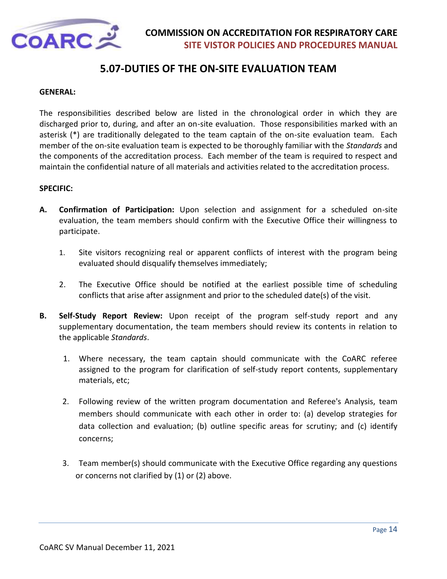

# **5.07-DUTIES OF THE ON-SITE EVALUATION TEAM**

#### <span id="page-13-0"></span>**GENERAL:**

The responsibilities described below are listed in the chronological order in which they are discharged prior to, during, and after an on-site evaluation. Those responsibilities marked with an asterisk (\*) are traditionally delegated to the team captain of the on-site evaluation team. Each member of the on-site evaluation team is expected to be thoroughly familiar with the *Standards* and the components of the accreditation process. Each member of the team is required to respect and maintain the confidential nature of all materials and activities related to the accreditation process.

#### **SPECIFIC:**

- **A. Confirmation of Participation:** Upon selection and assignment for a scheduled on-site evaluation, the team members should confirm with the Executive Office their willingness to participate.
	- 1. Site visitors recognizing real or apparent conflicts of interest with the program being evaluated should disqualify themselves immediately;
	- 2. The Executive Office should be notified at the earliest possible time of scheduling conflicts that arise after assignment and prior to the scheduled date(s) of the visit.
- **B. Self-Study Report Review:** Upon receipt of the program self-study report and any supplementary documentation, the team members should review its contents in relation to the applicable *Standards*.
	- 1. Where necessary, the team captain should communicate with the CoARC referee assigned to the program for clarification of self-study report contents, supplementary materials, etc;
	- 2. Following review of the written program documentation and Referee's Analysis, team members should communicate with each other in order to: (a) develop strategies for data collection and evaluation; (b) outline specific areas for scrutiny; and (c) identify concerns;
	- 3. Team member(s) should communicate with the Executive Office regarding any questions or concerns not clarified by (1) or (2) above.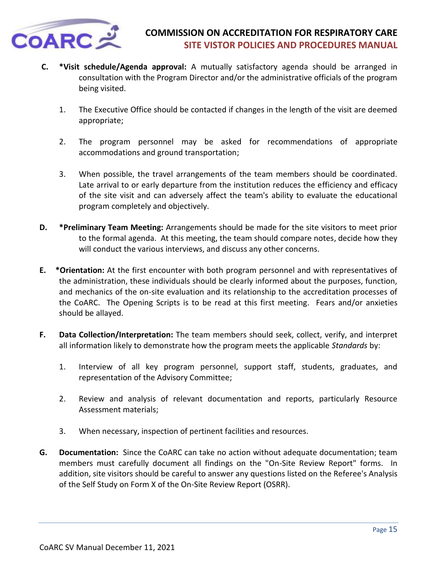

- **C. \*Visit schedule/Agenda approval:** A mutually satisfactory agenda should be arranged in consultation with the Program Director and/or the administrative officials of the program being visited.
	- 1. The Executive Office should be contacted if changes in the length of the visit are deemed appropriate;
	- 2. The program personnel may be asked for recommendations of appropriate accommodations and ground transportation;
	- 3. When possible, the travel arrangements of the team members should be coordinated. Late arrival to or early departure from the institution reduces the efficiency and efficacy of the site visit and can adversely affect the team's ability to evaluate the educational program completely and objectively.
- **D. \*Preliminary Team Meeting:** Arrangements should be made for the site visitors to meet prior to the formal agenda. At this meeting, the team should compare notes, decide how they will conduct the various interviews, and discuss any other concerns.
- **E. \*Orientation:** At the first encounter with both program personnel and with representatives of the administration, these individuals should be clearly informed about the purposes, function, and mechanics of the on-site evaluation and its relationship to the accreditation processes of the CoARC. The Opening Scripts is to be read at this first meeting. Fears and/or anxieties should be allayed.
- **F. Data Collection/Interpretation:** The team members should seek, collect, verify, and interpret all information likely to demonstrate how the program meets the applicable *Standards* by:
	- 1. Interview of all key program personnel, support staff, students, graduates, and representation of the Advisory Committee;
	- 2. Review and analysis of relevant documentation and reports, particularly Resource Assessment materials;
	- 3. When necessary, inspection of pertinent facilities and resources.
- **G. Documentation:** Since the CoARC can take no action without adequate documentation; team members must carefully document all findings on the "On-Site Review Report" forms. In addition, site visitors should be careful to answer any questions listed on the Referee's Analysis of the Self Study on Form X of the On-Site Review Report (OSRR).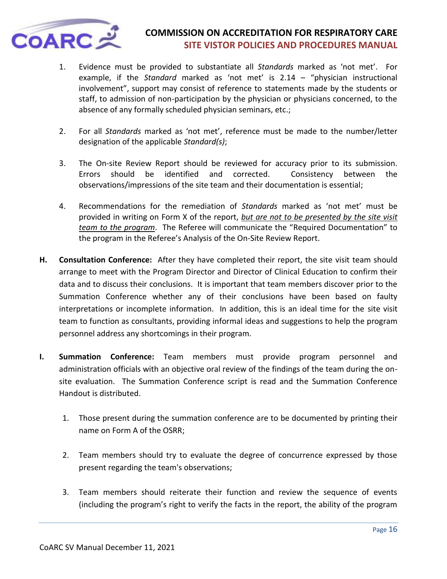

- 1. Evidence must be provided to substantiate all *Standards* marked as 'not met'. For example, if the *Standard* marked as 'not met' is 2.14 – "physician instructional involvement", support may consist of reference to statements made by the students or staff, to admission of non-participation by the physician or physicians concerned, to the absence of any formally scheduled physician seminars, etc.;
- 2. For all *Standards* marked as 'not met', reference must be made to the number/letter designation of the applicable *Standard(s)*;
- 3. The On-site Review Report should be reviewed for accuracy prior to its submission. Errors should be identified and corrected. Consistency between the observations/impressions of the site team and their documentation is essential;
- 4. Recommendations for the remediation of *Standards* marked as 'not met' must be provided in writing on Form X of the report, *but are not to be presented by the site visit team to the program*. The Referee will communicate the "Required Documentation" to the program in the Referee's Analysis of the On-Site Review Report.
- **H. Consultation Conference:** After they have completed their report, the site visit team should arrange to meet with the Program Director and Director of Clinical Education to confirm their data and to discuss their conclusions. It is important that team members discover prior to the Summation Conference whether any of their conclusions have been based on faulty interpretations or incomplete information. In addition, this is an ideal time for the site visit team to function as consultants, providing informal ideas and suggestions to help the program personnel address any shortcomings in their program.
- **I. Summation Conference:** Team members must provide program personnel and administration officials with an objective oral review of the findings of the team during the onsite evaluation. The Summation Conference script is read and the Summation Conference Handout is distributed.
	- 1. Those present during the summation conference are to be documented by printing their name on Form A of the OSRR;
	- 2. Team members should try to evaluate the degree of concurrence expressed by those present regarding the team's observations;
	- 3. Team members should reiterate their function and review the sequence of events (including the program's right to verify the facts in the report, the ability of the program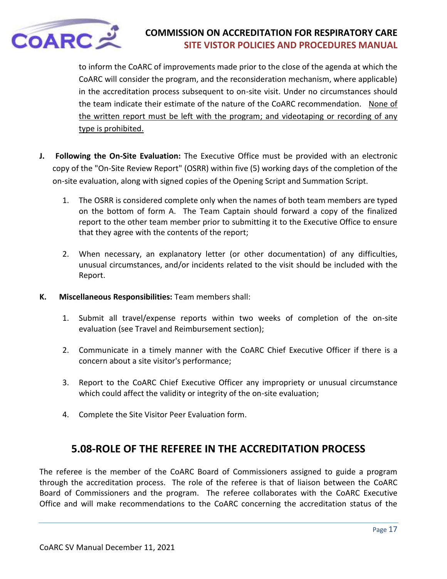

to inform the CoARC of improvements made prior to the close of the agenda at which the CoARC will consider the program, and the reconsideration mechanism, where applicable) in the accreditation process subsequent to on-site visit. Under no circumstances should the team indicate their estimate of the nature of the CoARC recommendation. None of the written report must be left with the program; and videotaping or recording of any type is prohibited.

- **J. Following the On-Site Evaluation:** The Executive Office must be provided with an electronic copy of the "On-Site Review Report" (OSRR) within five (5) working days of the completion of the on-site evaluation, along with signed copies of the Opening Script and Summation Script.
	- 1. The OSRR is considered complete only when the names of both team members are typed on the bottom of form A. The Team Captain should forward a copy of the finalized report to the other team member prior to submitting it to the Executive Office to ensure that they agree with the contents of the report;
	- 2. When necessary, an explanatory letter (or other documentation) of any difficulties, unusual circumstances, and/or incidents related to the visit should be included with the Report.
- **K. Miscellaneous Responsibilities:** Team members shall:
	- 1. Submit all travel/expense reports within two weeks of completion of the on-site evaluation (see Travel and Reimbursement section);
	- 2. Communicate in a timely manner with the CoARC Chief Executive Officer if there is a concern about a site visitor's performance;
	- 3. Report to the CoARC Chief Executive Officer any impropriety or unusual circumstance which could affect the validity or integrity of the on-site evaluation;
	- 4. Complete the Site Visitor Peer Evaluation form.

# **5.08-ROLE OF THE REFEREE IN THE ACCREDITATION PROCESS**

<span id="page-16-0"></span>The referee is the member of the CoARC Board of Commissioners assigned to guide a program through the accreditation process. The role of the referee is that of liaison between the CoARC Board of Commissioners and the program. The referee collaborates with the CoARC Executive Office and will make recommendations to the CoARC concerning the accreditation status of the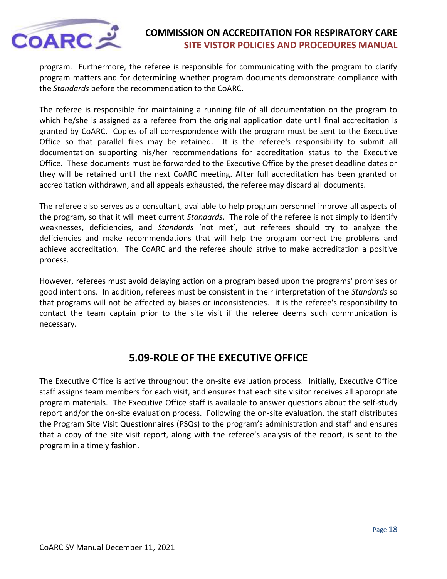

program. Furthermore, the referee is responsible for communicating with the program to clarify program matters and for determining whether program documents demonstrate compliance with the *Standards* before the recommendation to the CoARC.

The referee is responsible for maintaining a running file of all documentation on the program to which he/she is assigned as a referee from the original application date until final accreditation is granted by CoARC. Copies of all correspondence with the program must be sent to the Executive Office so that parallel files may be retained. It is the referee's responsibility to submit all documentation supporting his/her recommendations for accreditation status to the Executive Office. These documents must be forwarded to the Executive Office by the preset deadline dates or they will be retained until the next CoARC meeting. After full accreditation has been granted or accreditation withdrawn, and all appeals exhausted, the referee may discard all documents.

The referee also serves as a consultant, available to help program personnel improve all aspects of the program, so that it will meet current *Standards*. The role of the referee is not simply to identify weaknesses, deficiencies, and *Standards* 'not met', but referees should try to analyze the deficiencies and make recommendations that will help the program correct the problems and achieve accreditation. The CoARC and the referee should strive to make accreditation a positive process.

However, referees must avoid delaying action on a program based upon the programs' promises or good intentions. In addition, referees must be consistent in their interpretation of the *Standards* so that programs will not be affected by biases or inconsistencies. It is the referee's responsibility to contact the team captain prior to the site visit if the referee deems such communication is necessary.

# **5.09-ROLE OF THE EXECUTIVE OFFICE**

<span id="page-17-0"></span>The Executive Office is active throughout the on-site evaluation process. Initially, Executive Office staff assigns team members for each visit, and ensures that each site visitor receives all appropriate program materials. The Executive Office staff is available to answer questions about the self-study report and/or the on-site evaluation process. Following the on-site evaluation, the staff distributes the Program Site Visit Questionnaires (PSQs) to the program's administration and staff and ensures that a copy of the site visit report, along with the referee's analysis of the report, is sent to the program in a timely fashion.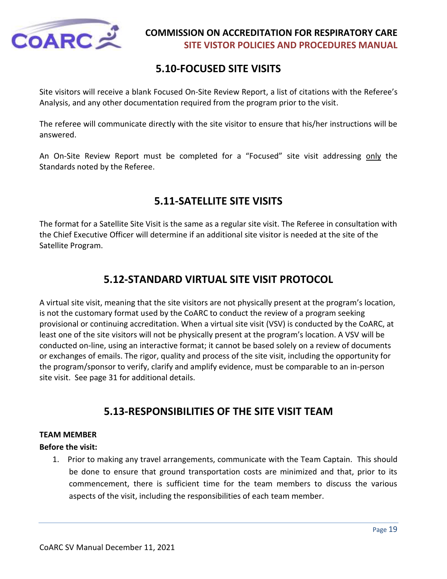

# **5.10-FOCUSED SITE VISITS**

<span id="page-18-0"></span>Site visitors will receive a blank Focused On-Site Review Report, a list of citations with the Referee's Analysis, and any other documentation required from the program prior to the visit.

The referee will communicate directly with the site visitor to ensure that his/her instructions will be answered.

An On-Site Review Report must be completed for a "Focused" site visit addressing only the Standards noted by the Referee.

# **5.11-SATELLITE SITE VISITS**

<span id="page-18-1"></span>The format for a Satellite Site Visit is the same as a regular site visit. The Referee in consultation with the Chief Executive Officer will determine if an additional site visitor is needed at the site of the Satellite Program.

# **5.12-STANDARD VIRTUAL SITE VISIT PROTOCOL**

<span id="page-18-2"></span>A virtual site visit, meaning that the site visitors are not physically present at the program's location, is not the customary format used by the CoARC to conduct the review of a program seeking provisional or continuing accreditation. When a virtual site visit (VSV) is conducted by the CoARC, at least one of the site visitors will not be physically present at the program's location. A VSV will be conducted on-line, using an interactive format; it cannot be based solely on a review of documents or exchanges of emails. The rigor, quality and process of the site visit, including the opportunity for the program/sponsor to verify, clarify and amplify evidence, must be comparable to an in-person site visit. See page 31 for additional details.

# **5.13-RESPONSIBILITIES OF THE SITE VISIT TEAM**

### <span id="page-18-3"></span>**TEAM MEMBER**

### **Before the visit:**

1. Prior to making any travel arrangements, communicate with the Team Captain. This should be done to ensure that ground transportation costs are minimized and that, prior to its commencement, there is sufficient time for the team members to discuss the various aspects of the visit, including the responsibilities of each team member.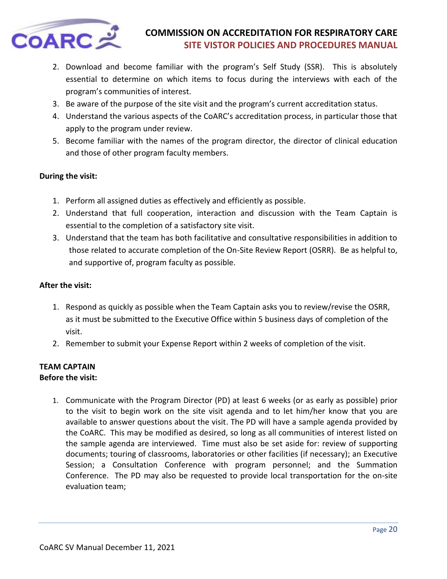

- 2. Download and become familiar with the program's Self Study (SSR). This is absolutely essential to determine on which items to focus during the interviews with each of the program's communities of interest.
- 3. Be aware of the purpose of the site visit and the program's current accreditation status.
- 4. Understand the various aspects of the CoARC's accreditation process, in particular those that apply to the program under review.
- 5. Become familiar with the names of the program director, the director of clinical education and those of other program faculty members.

### **During the visit:**

- 1. Perform all assigned duties as effectively and efficiently as possible.
- 2. Understand that full cooperation, interaction and discussion with the Team Captain is essential to the completion of a satisfactory site visit.
- 3. Understand that the team has both facilitative and consultative responsibilities in addition to those related to accurate completion of the On-Site Review Report (OSRR). Be as helpful to, and supportive of, program faculty as possible.

### **After the visit:**

- 1. Respond as quickly as possible when the Team Captain asks you to review/revise the OSRR, as it must be submitted to the Executive Office within 5 business days of completion of the visit.
- 2. Remember to submit your Expense Report within 2 weeks of completion of the visit.

# **TEAM CAPTAIN**

### **Before the visit:**

1. Communicate with the Program Director (PD) at least 6 weeks (or as early as possible) prior to the visit to begin work on the site visit agenda and to let him/her know that you are available to answer questions about the visit. The PD will have a sample agenda provided by the CoARC. This may be modified as desired, so long as all communities of interest listed on the sample agenda are interviewed. Time must also be set aside for: review of supporting documents; touring of classrooms, laboratories or other facilities (if necessary); an Executive Session; a Consultation Conference with program personnel; and the Summation Conference. The PD may also be requested to provide local transportation for the on-site evaluation team;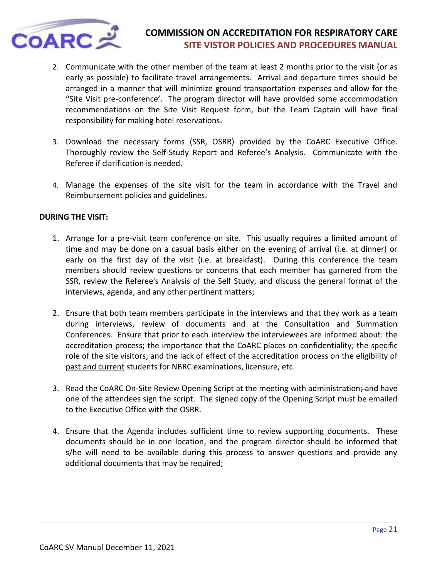

- 2. Communicate with the other member of the team at least 2 months prior to the visit (or as early as possible) to facilitate travel arrangements. Arrival and departure times should be arranged in a manner that will minimize ground transportation expenses and allow for the "Site Visit pre-conference'. The program director will have provided some accommodation recommendations on the Site Visit Request form, but the Team Captain will have final responsibility for making hotel reservations.
- 3. Download the necessary forms (SSR, OSRR) provided by the CoARC Executive Office. Thoroughly review the Self-Study Report and Referee's Analysis. Communicate with the Referee if clarification is needed.
- 4. Manage the expenses of the site visit for the team in accordance with the Travel and Reimbursement policies and guidelines.

### **DURING THE VISIT:**

- 1. Arrange for a pre-visit team conference on site. This usually requires a limited amount of time and may be done on a casual basis either on the evening of arrival (i.e. at dinner) or early on the first day of the visit (i.e. at breakfast). During this conference the team members should review questions or concerns that each member has garnered from the SSR, review the Referee's Analysis of the Self Study, and discuss the general format of the interviews, agenda, and any other pertinent matters;
- 2. Ensure that both team members participate in the interviews and that they work as a team during interviews, review of documents and at the Consultation and Summation Conferences. Ensure that prior to each interview the interviewees are informed about: the accreditation process; the importance that the CoARC places on confidentiality; the specific role of the site visitors; and the lack of effect of the accreditation process on the eligibility of past and current students for NBRC examinations, licensure, etc.
- 3. Read the CoARC On-Site Review Opening Script at the meeting with administration; and have one of the attendees sign the script. The signed copy of the Opening Script must be emailed to the Executive Office with the OSRR.
- 4. Ensure that the Agenda includes sufficient time to review supporting documents. These documents should be in one location, and the program director should be informed that s/he will need to be available during this process to answer questions and provide any additional documents that may be required;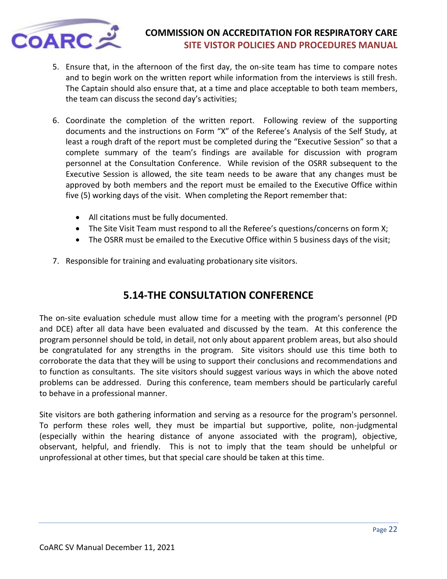

- 5. Ensure that, in the afternoon of the first day, the on-site team has time to compare notes and to begin work on the written report while information from the interviews is still fresh. The Captain should also ensure that, at a time and place acceptable to both team members, the team can discuss the second day's activities;
- 6. Coordinate the completion of the written report. Following review of the supporting documents and the instructions on Form "X" of the Referee's Analysis of the Self Study, at least a rough draft of the report must be completed during the "Executive Session" so that a complete summary of the team's findings are available for discussion with program personnel at the Consultation Conference. While revision of the OSRR subsequent to the Executive Session is allowed, the site team needs to be aware that any changes must be approved by both members and the report must be emailed to the Executive Office within five (5) working days of the visit. When completing the Report remember that:
	- All citations must be fully documented.
	- The Site Visit Team must respond to all the Referee's questions/concerns on form X;
	- The OSRR must be emailed to the Executive Office within 5 business days of the visit;
- 7. Responsible for training and evaluating probationary site visitors.

# **5.14-THE CONSULTATION CONFERENCE**

<span id="page-21-0"></span>The on-site evaluation schedule must allow time for a meeting with the program's personnel (PD and DCE) after all data have been evaluated and discussed by the team. At this conference the program personnel should be told, in detail, not only about apparent problem areas, but also should be congratulated for any strengths in the program. Site visitors should use this time both to corroborate the data that they will be using to support their conclusions and recommendations and to function as consultants. The site visitors should suggest various ways in which the above noted problems can be addressed. During this conference, team members should be particularly careful to behave in a professional manner.

Site visitors are both gathering information and serving as a resource for the program's personnel. To perform these roles well, they must be impartial but supportive, polite, non-judgmental (especially within the hearing distance of anyone associated with the program), objective, observant, helpful, and friendly. This is not to imply that the team should be unhelpful or unprofessional at other times, but that special care should be taken at this time.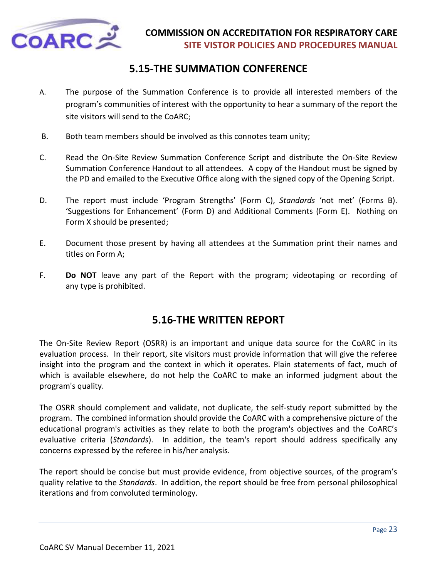

# **5.15-THE SUMMATION CONFERENCE**

- <span id="page-22-0"></span>A. The purpose of the Summation Conference is to provide all interested members of the program's communities of interest with the opportunity to hear a summary of the report the site visitors will send to the CoARC;
- B. Both team members should be involved as this connotes team unity;
- C. Read the On-Site Review Summation Conference Script and distribute the On-Site Review Summation Conference Handout to all attendees. A copy of the Handout must be signed by the PD and emailed to the Executive Office along with the signed copy of the Opening Script.
- D. The report must include 'Program Strengths' (Form C), *Standards* 'not met' (Forms B). 'Suggestions for Enhancement' (Form D) and Additional Comments (Form E). Nothing on Form X should be presented;
- E. Document those present by having all attendees at the Summation print their names and titles on Form A;
- F. **Do NOT** leave any part of the Report with the program; videotaping or recording of any type is prohibited.

# **5.16-THE WRITTEN REPORT**

<span id="page-22-1"></span>The On-Site Review Report (OSRR) is an important and unique data source for the CoARC in its evaluation process. In their report, site visitors must provide information that will give the referee insight into the program and the context in which it operates. Plain statements of fact, much of which is available elsewhere, do not help the CoARC to make an informed judgment about the program's quality.

The OSRR should complement and validate, not duplicate, the self-study report submitted by the program. The combined information should provide the CoARC with a comprehensive picture of the educational program's activities as they relate to both the program's objectives and the CoARC's evaluative criteria (*Standards*). In addition, the team's report should address specifically any concerns expressed by the referee in his/her analysis.

The report should be concise but must provide evidence, from objective sources, of the program's quality relative to the *Standards*. In addition, the report should be free from personal philosophical iterations and from convoluted terminology.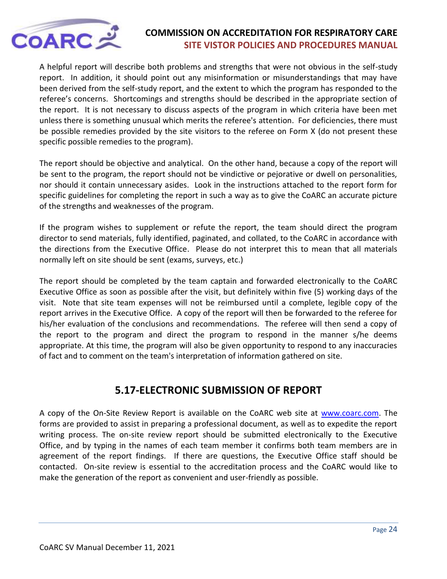

A helpful report will describe both problems and strengths that were not obvious in the self-study report. In addition, it should point out any misinformation or misunderstandings that may have been derived from the self-study report, and the extent to which the program has responded to the referee's concerns. Shortcomings and strengths should be described in the appropriate section of the report. It is not necessary to discuss aspects of the program in which criteria have been met unless there is something unusual which merits the referee's attention. For deficiencies, there must be possible remedies provided by the site visitors to the referee on Form X (do not present these specific possible remedies to the program).

The report should be objective and analytical. On the other hand, because a copy of the report will be sent to the program, the report should not be vindictive or pejorative or dwell on personalities, nor should it contain unnecessary asides. Look in the instructions attached to the report form for specific guidelines for completing the report in such a way as to give the CoARC an accurate picture of the strengths and weaknesses of the program.

If the program wishes to supplement or refute the report, the team should direct the program director to send materials, fully identified, paginated, and collated, to the CoARC in accordance with the directions from the Executive Office. Please do not interpret this to mean that all materials normally left on site should be sent (exams, surveys, etc.)

The report should be completed by the team captain and forwarded electronically to the CoARC Executive Office as soon as possible after the visit, but definitely within five (5) working days of the visit. Note that site team expenses will not be reimbursed until a complete, legible copy of the report arrives in the Executive Office. A copy of the report will then be forwarded to the referee for his/her evaluation of the conclusions and recommendations. The referee will then send a copy of the report to the program and direct the program to respond in the manner s/he deems appropriate. At this time, the program will also be given opportunity to respond to any inaccuracies of fact and to comment on the team's interpretation of information gathered on site.

# **5.17-ELECTRONIC SUBMISSION OF REPORT**

<span id="page-23-0"></span>A copy of the On-Site Review Report is available on the CoARC web site at [www.coarc.com.](http://www.coarc.com/) The forms are provided to assist in preparing a professional document, as well as to expedite the report writing process. The on-site review report should be submitted electronically to the Executive Office, and by typing in the names of each team member it confirms both team members are in agreement of the report findings. If there are questions, the Executive Office staff should be contacted. On-site review is essential to the accreditation process and the CoARC would like to make the generation of the report as convenient and user-friendly as possible.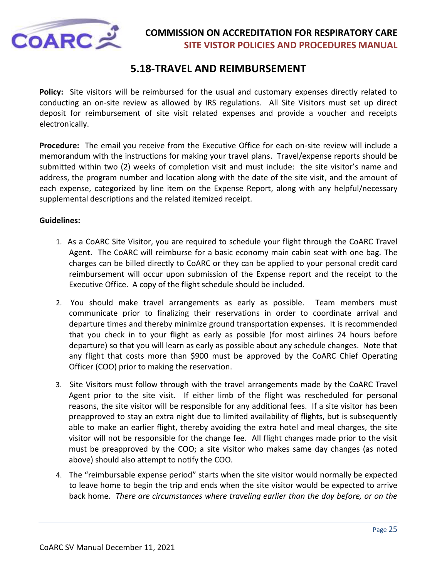

# **5.18-TRAVEL AND REIMBURSEMENT**

<span id="page-24-0"></span>**Policy:** Site visitors will be reimbursed for the usual and customary expenses directly related to conducting an on-site review as allowed by IRS regulations. All Site Visitors must set up direct deposit for reimbursement of site visit related expenses and provide a voucher and receipts electronically.

**Procedure:** The email you receive from the Executive Office for each on-site review will include a memorandum with the instructions for making your travel plans. Travel/expense reports should be submitted within two (2) weeks of completion visit and must include: the site visitor's name and address, the program number and location along with the date of the site visit, and the amount of each expense, categorized by line item on the Expense Report, along with any helpful/necessary supplemental descriptions and the related itemized receipt.

#### **Guidelines:**

- 1. As a CoARC Site Visitor, you are required to schedule your flight through the CoARC Travel Agent. The CoARC will reimburse for a basic economy main cabin seat with one bag. The charges can be billed directly to CoARC or they can be applied to your personal credit card reimbursement will occur upon submission of the Expense report and the receipt to the Executive Office. A copy of the flight schedule should be included.
- 2. You should make travel arrangements as early as possible. Team members must communicate prior to finalizing their reservations in order to coordinate arrival and departure times and thereby minimize ground transportation expenses. It is recommended that you check in to your flight as early as possible (for most airlines 24 hours before departure) so that you will learn as early as possible about any schedule changes. Note that any flight that costs more than \$900 must be approved by the CoARC Chief Operating Officer (COO) prior to making the reservation.
- 3. Site Visitors must follow through with the travel arrangements made by the CoARC Travel Agent prior to the site visit. If either limb of the flight was rescheduled for personal reasons, the site visitor will be responsible for any additional fees. If a site visitor has been preapproved to stay an extra night due to limited availability of flights, but is subsequently able to make an earlier flight, thereby avoiding the extra hotel and meal charges, the site visitor will not be responsible for the change fee. All flight changes made prior to the visit must be preapproved by the COO; a site visitor who makes same day changes (as noted above) should also attempt to notify the COO.
- 4. The "reimbursable expense period" starts when the site visitor would normally be expected to leave home to begin the trip and ends when the site visitor would be expected to arrive back home. *There are circumstances where traveling earlier than the day before, or on the*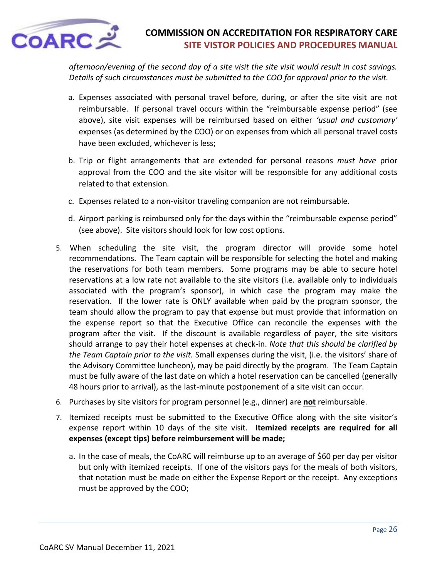

*afternoon/evening of the second day of a site visit the site visit would result in cost savings. Details of such circumstances must be submitted to the COO for approval prior to the visit.* 

- a. Expenses associated with personal travel before, during, or after the site visit are not reimbursable. If personal travel occurs within the "reimbursable expense period" (see above), site visit expenses will be reimbursed based on either *'usual and customary'* expenses (as determined by the COO) or on expenses from which all personal travel costs have been excluded, whichever is less;
- b. Trip or flight arrangements that are extended for personal reasons *must have* prior approval from the COO and the site visitor will be responsible for any additional costs related to that extension*.*
- c. Expenses related to a non-visitor traveling companion are not reimbursable.
- d. Airport parking is reimbursed only for the days within the "reimbursable expense period" (see above). Site visitors should look for low cost options.
- 5. When scheduling the site visit, the program director will provide some hotel recommendations. The Team captain will be responsible for selecting the hotel and making the reservations for both team members. Some programs may be able to secure hotel reservations at a low rate not available to the site visitors (i.e. available only to individuals associated with the program's sponsor), in which case the program may make the reservation. If the lower rate is ONLY available when paid by the program sponsor, the team should allow the program to pay that expense but must provide that information on the expense report so that the Executive Office can reconcile the expenses with the program after the visit. If the discount is available regardless of payer, the site visitors should arrange to pay their hotel expenses at check-in. *Note that this should be clarified by the Team Captain prior to the visit.* Small expenses during the visit, (i.e. the visitors' share of the Advisory Committee luncheon), may be paid directly by the program*.* The Team Captain must be fully aware of the last date on which a hotel reservation can be cancelled (generally 48 hours prior to arrival), as the last-minute postponement of a site visit can occur.
- 6. Purchases by site visitors for program personnel (e.g., dinner) are **not** reimbursable.
- 7. Itemized receipts must be submitted to the Executive Office along with the site visitor's expense report within 10 days of the site visit. **Itemized receipts are required for all expenses (except tips) before reimbursement will be made;**
	- a. In the case of meals, the CoARC will reimburse up to an average of \$60 per day per visitor but only with itemized receipts. If one of the visitors pays for the meals of both visitors, that notation must be made on either the Expense Report or the receipt. Any exceptions must be approved by the COO;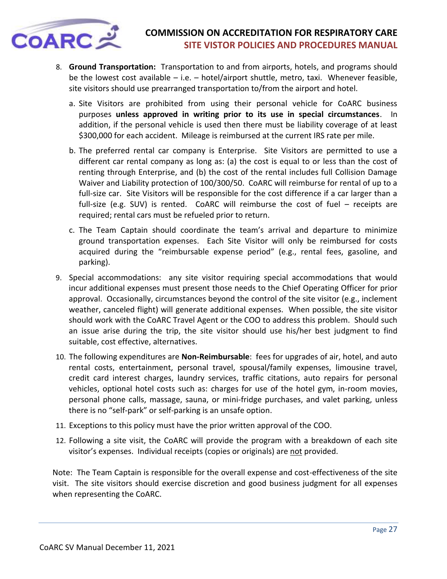

- 8. **Ground Transportation:** Transportation to and from airports, hotels, and programs should be the lowest cost available – i.e. – hotel/airport shuttle, metro, taxi. Whenever feasible, site visitors should use prearranged transportation to/from the airport and hotel.
	- a. Site Visitors are prohibited from using their personal vehicle for CoARC business purposes **unless approved in writing prior to its use in special circumstances**. In addition, if the personal vehicle is used then there must be liability coverage of at least \$300,000 for each accident. Mileage is reimbursed at the current IRS rate per mile.
	- b. The preferred rental car company is Enterprise. Site Visitors are permitted to use a different car rental company as long as: (a) the cost is equal to or less than the cost of renting through Enterprise, and (b) the cost of the rental includes full Collision Damage Waiver and Liability protection of 100/300/50. CoARC will reimburse for rental of up to a full-size car. Site Visitors will be responsible for the cost difference if a car larger than a full-size (e.g. SUV) is rented. CoARC will reimburse the cost of fuel – receipts are required; rental cars must be refueled prior to return.
	- c. The Team Captain should coordinate the team's arrival and departure to minimize ground transportation expenses. Each Site Visitor will only be reimbursed for costs acquired during the "reimbursable expense period" (e.g., rental fees, gasoline, and parking).
- 9. Special accommodations: any site visitor requiring special accommodations that would incur additional expenses must present those needs to the Chief Operating Officer for prior approval. Occasionally, circumstances beyond the control of the site visitor (e.g., inclement weather, canceled flight) will generate additional expenses. When possible, the site visitor should work with the CoARC Travel Agent or the COO to address this problem. Should such an issue arise during the trip, the site visitor should use his/her best judgment to find suitable, cost effective, alternatives.
- 10. The following expenditures are **Non-Reimbursable**: fees for upgrades of air, hotel, and auto rental costs, entertainment, personal travel, spousal/family expenses, limousine travel, credit card interest charges, laundry services, traffic citations, auto repairs for personal vehicles, optional hotel costs such as: charges for use of the hotel gym, in-room movies, personal phone calls, massage, sauna, or mini-fridge purchases, and valet parking, unless there is no "self-park" or self-parking is an unsafe option.
- 11. Exceptions to this policy must have the prior written approval of the COO.
- 12. Following a site visit, the CoARC will provide the program with a breakdown of each site visitor's expenses. Individual receipts (copies or originals) are not provided.

Note: The Team Captain is responsible for the overall expense and cost-effectiveness of the site visit. The site visitors should exercise discretion and good business judgment for all expenses when representing the CoARC.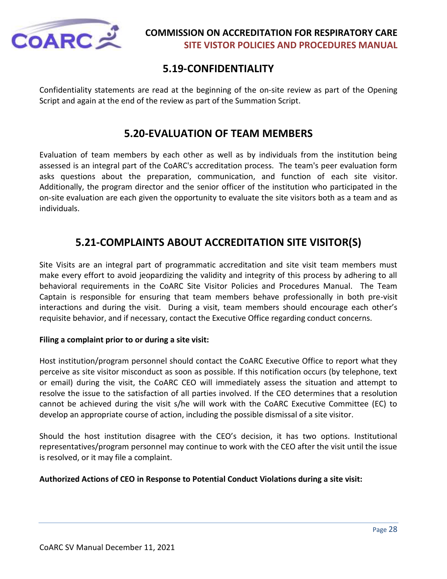

# **5.19-CONFIDENTIALITY**

<span id="page-27-0"></span>Confidentiality statements are read at the beginning of the on-site review as part of the Opening Script and again at the end of the review as part of the Summation Script.

# **5.20-EVALUATION OF TEAM MEMBERS**

<span id="page-27-1"></span>Evaluation of team members by each other as well as by individuals from the institution being assessed is an integral part of the CoARC's accreditation process. The team's peer evaluation form asks questions about the preparation, communication, and function of each site visitor. Additionally, the program director and the senior officer of the institution who participated in the on-site evaluation are each given the opportunity to evaluate the site visitors both as a team and as individuals.

# **5.21-COMPLAINTS ABOUT ACCREDITATION SITE VISITOR(S)**

<span id="page-27-2"></span>Site Visits are an integral part of programmatic accreditation and site visit team members must make every effort to avoid jeopardizing the validity and integrity of this process by adhering to all behavioral requirements in the CoARC Site Visitor Policies and Procedures Manual. The Team Captain is responsible for ensuring that team members behave professionally in both pre-visit interactions and during the visit. During a visit, team members should encourage each other's requisite behavior, and if necessary, contact the Executive Office regarding conduct concerns.

### **Filing a complaint prior to or during a site visit:**

Host institution/program personnel should contact the CoARC Executive Office to report what they perceive as site visitor misconduct as soon as possible. If this notification occurs (by telephone, text or email) during the visit, the CoARC CEO will immediately assess the situation and attempt to resolve the issue to the satisfaction of all parties involved. If the CEO determines that a resolution cannot be achieved during the visit s/he will work with the CoARC Executive Committee (EC) to develop an appropriate course of action, including the possible dismissal of a site visitor.

Should the host institution disagree with the CEO's decision, it has two options. Institutional representatives/program personnel may continue to work with the CEO after the visit until the issue is resolved, or it may file a complaint.

### **Authorized Actions of CEO in Response to Potential Conduct Violations during a site visit:**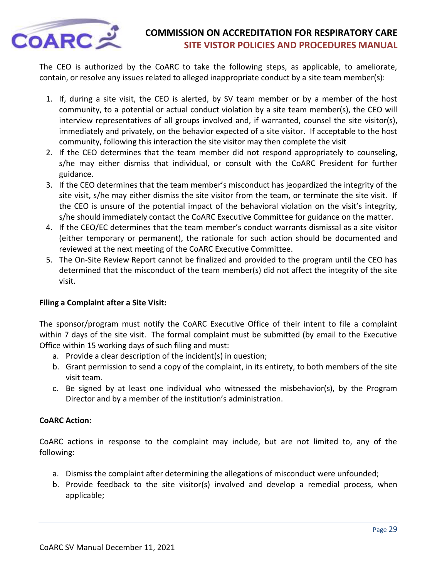

The CEO is authorized by the CoARC to take the following steps, as applicable, to ameliorate, contain, or resolve any issues related to alleged inappropriate conduct by a site team member(s):

- 1. If, during a site visit, the CEO is alerted, by SV team member or by a member of the host community, to a potential or actual conduct violation by a site team member(s), the CEO will interview representatives of all groups involved and, if warranted, counsel the site visitor(s), immediately and privately, on the behavior expected of a site visitor. If acceptable to the host community, following this interaction the site visitor may then complete the visit
- 2. If the CEO determines that the team member did not respond appropriately to counseling, s/he may either dismiss that individual, or consult with the CoARC President for further guidance.
- 3. If the CEO determines that the team member's misconduct has jeopardized the integrity of the site visit, s/he may either dismiss the site visitor from the team, or terminate the site visit. If the CEO is unsure of the potential impact of the behavioral violation on the visit's integrity, s/he should immediately contact the CoARC Executive Committee for guidance on the matter.
- 4. If the CEO/EC determines that the team member's conduct warrants dismissal as a site visitor (either temporary or permanent), the rationale for such action should be documented and reviewed at the next meeting of the CoARC Executive Committee.
- 5. The On-Site Review Report cannot be finalized and provided to the program until the CEO has determined that the misconduct of the team member(s) did not affect the integrity of the site visit.

### **Filing a Complaint after a Site Visit:**

The sponsor/program must notify the CoARC Executive Office of their intent to file a complaint within 7 days of the site visit. The formal complaint must be submitted (by email to the Executive Office within 15 working days of such filing and must:

- a. Provide a clear description of the incident(s) in question;
- b. Grant permission to send a copy of the complaint, in its entirety, to both members of the site visit team.
- c. Be signed by at least one individual who witnessed the misbehavior(s), by the Program Director and by a member of the institution's administration.

### **CoARC Action:**

CoARC actions in response to the complaint may include, but are not limited to, any of the following:

- a. Dismiss the complaint after determining the allegations of misconduct were unfounded;
- b. Provide feedback to the site visitor(s) involved and develop a remedial process, when applicable;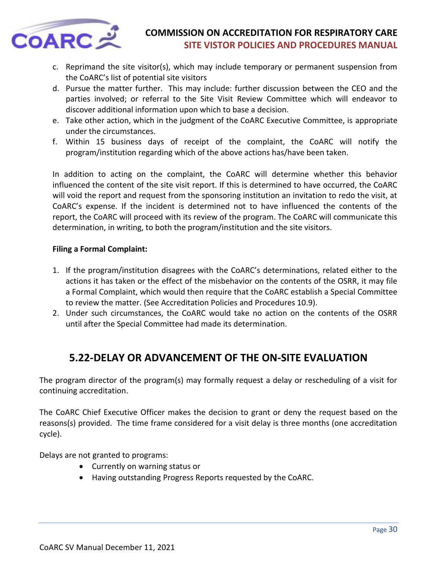

- c. Reprimand the site visitor(s), which may include temporary or permanent suspension from the CoARC's list of potential site visitors
- d. Pursue the matter further. This may include: further discussion between the CEO and the parties involved; or referral to the Site Visit Review Committee which will endeavor to discover additional information upon which to base a decision.
- e. Take other action, which in the judgment of the CoARC Executive Committee, is appropriate under the circumstances.
- f. Within 15 business days of receipt of the complaint, the CoARC will notify the program/institution regarding which of the above actions has/have been taken.

In addition to acting on the complaint, the CoARC will determine whether this behavior influenced the content of the site visit report. If this is determined to have occurred, the CoARC will void the report and request from the sponsoring institution an invitation to redo the visit, at CoARC's expense. If the incident is determined not to have influenced the contents of the report, the CoARC will proceed with its review of the program. The CoARC will communicate this determination, in writing, to both the program/institution and the site visitors.

### **Filing a Formal Complaint:**

- 1. If the program/institution disagrees with the CoARC's determinations, related either to the actions it has taken or the effect of the misbehavior on the contents of the OSRR, it may file a Formal Complaint, which would then require that the CoARC establish a Special Committee to review the matter. (See Accreditation Policies and Procedures 10.9).
- 2. Under such circumstances, the CoARC would take no action on the contents of the OSRR until after the Special Committee had made its determination.

# **5.22-DELAY OR ADVANCEMENT OF THE ON-SITE EVALUATION**

<span id="page-29-0"></span>The program director of the program(s) may formally request a delay or rescheduling of a visit for continuing accreditation.

The CoARC Chief Executive Officer makes the decision to grant or deny the request based on the reasons(s) provided. The time frame considered for a visit delay is three months (one accreditation cycle).

Delays are not granted to programs:

- Currently on warning status or
- Having outstanding Progress Reports requested by the CoARC.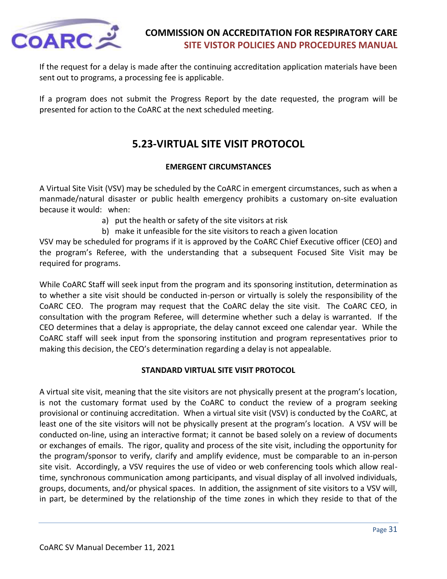

If the request for a delay is made after the continuing accreditation application materials have been sent out to programs, a processing fee is applicable.

<span id="page-30-0"></span>If a program does not submit the Progress Report by the date requested, the program will be presented for action to the CoARC at the next scheduled meeting.

# **5.23-VIRTUAL SITE VISIT PROTOCOL**

### **EMERGENT CIRCUMSTANCES**

A Virtual Site Visit (VSV) may be scheduled by the CoARC in emergent circumstances, such as when a manmade/natural disaster or public health emergency prohibits a customary on-site evaluation because it would: when:

- a) put the health or safety of the site visitors at risk
- b) make it unfeasible for the site visitors to reach a given location

VSV may be scheduled for programs if it is approved by the CoARC Chief Executive officer (CEO) and the program's Referee, with the understanding that a subsequent Focused Site Visit may be required for programs.

While CoARC Staff will seek input from the program and its sponsoring institution, determination as to whether a site visit should be conducted in-person or virtually is solely the responsibility of the CoARC CEO. The program may request that the CoARC delay the site visit. The CoARC CEO, in consultation with the program Referee, will determine whether such a delay is warranted. If the CEO determines that a delay is appropriate, the delay cannot exceed one calendar year. While the CoARC staff will seek input from the sponsoring institution and program representatives prior to making this decision, the CEO's determination regarding a delay is not appealable.

### **STANDARD VIRTUAL SITE VISIT PROTOCOL**

A virtual site visit, meaning that the site visitors are not physically present at the program's location, is not the customary format used by the CoARC to conduct the review of a program seeking provisional or continuing accreditation. When a virtual site visit (VSV) is conducted by the CoARC, at least one of the site visitors will not be physically present at the program's location. A VSV will be conducted on-line, using an interactive format; it cannot be based solely on a review of documents or exchanges of emails. The rigor, quality and process of the site visit, including the opportunity for the program/sponsor to verify, clarify and amplify evidence, must be comparable to an in-person site visit. Accordingly, a VSV requires the use of video or web conferencing tools which allow realtime, synchronous communication among participants, and visual display of all involved individuals, groups, documents, and/or physical spaces. In addition, the assignment of site visitors to a VSV will, in part, be determined by the relationship of the time zones in which they reside to that of the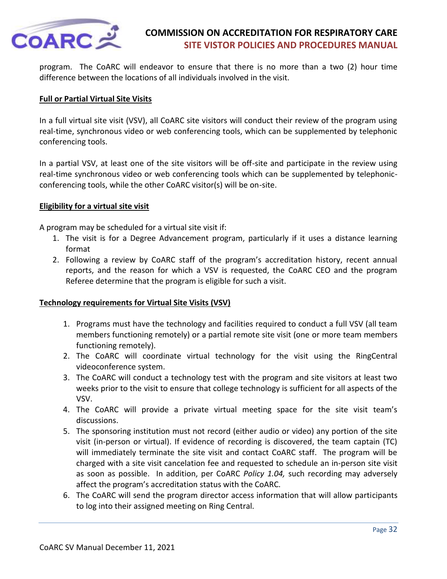

program. The CoARC will endeavor to ensure that there is no more than a two (2) hour time difference between the locations of all individuals involved in the visit.

#### **Full or Partial Virtual Site Visits**

In a full virtual site visit (VSV), all CoARC site visitors will conduct their review of the program using real-time, synchronous video or web conferencing tools, which can be supplemented by telephonic conferencing tools.

In a partial VSV, at least one of the site visitors will be off-site and participate in the review using real-time synchronous video or web conferencing tools which can be supplemented by telephonicconferencing tools, while the other CoARC visitor(s) will be on-site.

#### **Eligibility for a virtual site visit**

A program may be scheduled for a virtual site visit if:

- 1. The visit is for a Degree Advancement program, particularly if it uses a distance learning format
- 2. Following a review by CoARC staff of the program's accreditation history, recent annual reports, and the reason for which a VSV is requested, the CoARC CEO and the program Referee determine that the program is eligible for such a visit.

#### **Technology requirements for Virtual Site Visits (VSV)**

- 1. Programs must have the technology and facilities required to conduct a full VSV (all team members functioning remotely) or a partial remote site visit (one or more team members functioning remotely).
- 2. The CoARC will coordinate virtual technology for the visit using the RingCentral videoconference system.
- 3. The CoARC will conduct a technology test with the program and site visitors at least two weeks prior to the visit to ensure that college technology is sufficient for all aspects of the VSV.
- 4. The CoARC will provide a private virtual meeting space for the site visit team's discussions.
- 5. The sponsoring institution must not record (either audio or video) any portion of the site visit (in-person or virtual). If evidence of recording is discovered, the team captain (TC) will immediately terminate the site visit and contact CoARC staff. The program will be charged with a site visit cancelation fee and requested to schedule an in-person site visit as soon as possible. In addition, per CoARC *Policy 1.04,* such recording may adversely affect the program's accreditation status with the CoARC.
- 6. The CoARC will send the program director access information that will allow participants to log into their assigned meeting on Ring Central.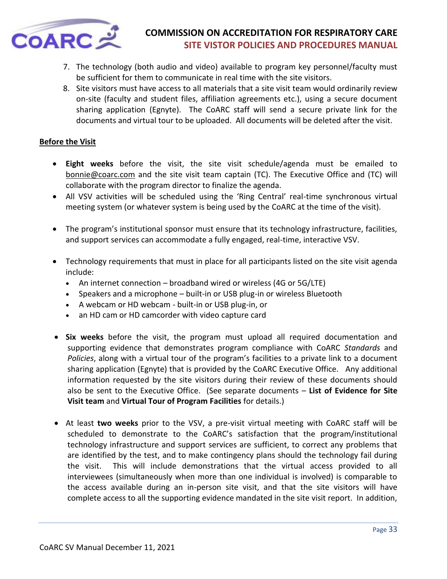

- 7. The technology (both audio and video) available to program key personnel/faculty must be sufficient for them to communicate in real time with the site visitors.
- 8. Site visitors must have access to all materials that a site visit team would ordinarily review on-site (faculty and student files, affiliation agreements etc.), using a secure document sharing application (Egnyte). The CoARC staff will send a secure private link for the documents and virtual tour to be uploaded. All documents will be deleted after the visit.

#### **Before the Visit**

- **Eight weeks** before the visit, the site visit schedule/agenda must be emailed to [bonnie@coarc.com](mailto:bonnie@coarc.com) and the site visit team captain (TC). The Executive Office and (TC) will collaborate with the program director to finalize the agenda.
- All VSV activities will be scheduled using the 'Ring Central' real-time synchronous virtual meeting system (or whatever system is being used by the CoARC at the time of the visit).
- The program's institutional sponsor must ensure that its technology infrastructure, facilities, and support services can accommodate a fully engaged, real-time, interactive VSV.
- Technology requirements that must in place for all participants listed on the site visit agenda include:
	- An internet connection broadband wired or wireless (4G or 5G/LTE)
	- Speakers and a microphone built-in or USB plug-in or wireless Bluetooth
	- A webcam or HD webcam built-in or USB plug-in, or
	- an HD cam or HD camcorder with video capture card
- **Six weeks** before the visit, the program must upload all required documentation and supporting evidence that demonstrates program compliance with CoARC *Standards* and *Policies*, along with a virtual tour of the program's facilities to a private link to a document sharing application (Egnyte) that is provided by the CoARC Executive Office. Any additional information requested by the site visitors during their review of these documents should also be sent to the Executive Office. (See separate documents – **List of Evidence for Site Visit team** and **Virtual Tour of Program Facilities** for details.)
- At least **two weeks** prior to the VSV, a pre-visit virtual meeting with CoARC staff will be scheduled to demonstrate to the CoARC's satisfaction that the program/institutional technology infrastructure and support services are sufficient, to correct any problems that are identified by the test, and to make contingency plans should the technology fail during the visit. This will include demonstrations that the virtual access provided to all interviewees (simultaneously when more than one individual is involved) is comparable to the access available during an in-person site visit, and that the site visitors will have complete access to all the supporting evidence mandated in the site visit report. In addition,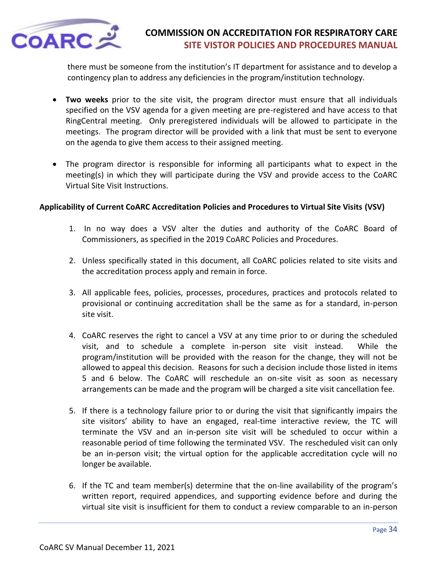

there must be someone from the institution's IT department for assistance and to develop a contingency plan to address any deficiencies in the program/institution technology.

- **Two weeks** prior to the site visit, the program director must ensure that all individuals specified on the VSV agenda for a given meeting are pre-registered and have access to that RingCentral meeting. Only preregistered individuals will be allowed to participate in the meetings. The program director will be provided with a link that must be sent to everyone on the agenda to give them access to their assigned meeting.
- The program director is responsible for informing all participants what to expect in the meeting(s) in which they will participate during the VSV and provide access to the CoARC Virtual Site Visit Instructions.

### **Applicability of Current CoARC Accreditation Policies and Procedures to Virtual Site Visits (VSV)**

- 1. In no way does a VSV alter the duties and authority of the CoARC Board of Commissioners, as specified in the 2019 CoARC Policies and Procedures.
- 2. Unless specifically stated in this document, all CoARC policies related to site visits and the accreditation process apply and remain in force.
- 3. All applicable fees, policies, processes, procedures, practices and protocols related to provisional or continuing accreditation shall be the same as for a standard, in-person site visit.
- 4. CoARC reserves the right to cancel a VSV at any time prior to or during the scheduled visit, and to schedule a complete in-person site visit instead. While the program/institution will be provided with the reason for the change, they will not be allowed to appeal this decision. Reasons for such a decision include those listed in items 5 and 6 below. The CoARC will reschedule an on-site visit as soon as necessary arrangements can be made and the program will be charged a site visit cancellation fee.
- 5. If there is a technology failure prior to or during the visit that significantly impairs the site visitors' ability to have an engaged, real-time interactive review, the TC will terminate the VSV and an in-person site visit will be scheduled to occur within a reasonable period of time following the terminated VSV. The rescheduled visit can only be an in-person visit; the virtual option for the applicable accreditation cycle will no longer be available.
- 6. If the TC and team member(s) determine that the on-line availability of the program's written report, required appendices, and supporting evidence before and during the virtual site visit is insufficient for them to conduct a review comparable to an in-person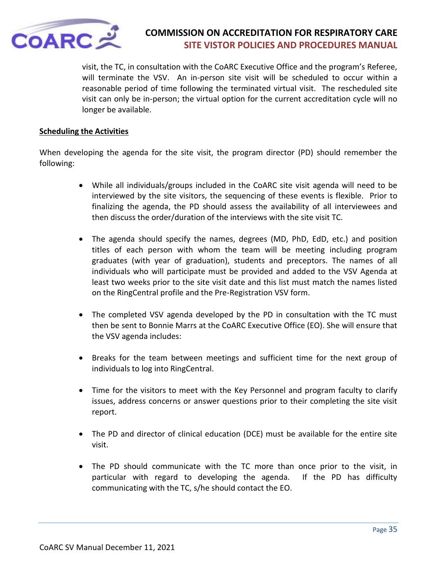

visit, the TC, in consultation with the CoARC Executive Office and the program's Referee, will terminate the VSV. An in-person site visit will be scheduled to occur within a reasonable period of time following the terminated virtual visit. The rescheduled site visit can only be in-person; the virtual option for the current accreditation cycle will no longer be available.

### **Scheduling the Activities**

When developing the agenda for the site visit, the program director (PD) should remember the following:

- While all individuals/groups included in the CoARC site visit agenda will need to be interviewed by the site visitors, the sequencing of these events is flexible. Prior to finalizing the agenda, the PD should assess the availability of all interviewees and then discuss the order/duration of the interviews with the site visit TC.
- The agenda should specify the names, degrees (MD, PhD, EdD, etc.) and position titles of each person with whom the team will be meeting including program graduates (with year of graduation), students and preceptors. The names of all individuals who will participate must be provided and added to the VSV Agenda at least two weeks prior to the site visit date and this list must match the names listed on the RingCentral profile and the Pre-Registration VSV form.
- The completed VSV agenda developed by the PD in consultation with the TC must then be sent to Bonnie Marrs at the CoARC Executive Office (EO). She will ensure that the VSV agenda includes:
- Breaks for the team between meetings and sufficient time for the next group of individuals to log into RingCentral.
- Time for the visitors to meet with the Key Personnel and program faculty to clarify issues, address concerns or answer questions prior to their completing the site visit report.
- The PD and director of clinical education (DCE) must be available for the entire site visit.
- The PD should communicate with the TC more than once prior to the visit, in particular with regard to developing the agenda. If the PD has difficulty communicating with the TC, s/he should contact the EO.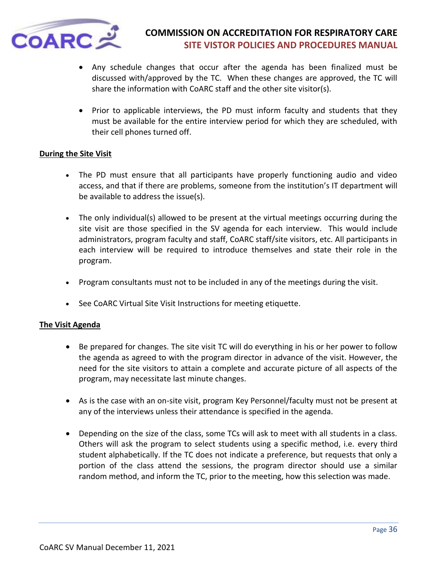

- Any schedule changes that occur after the agenda has been finalized must be discussed with/approved by the TC. When these changes are approved, the TC will share the information with CoARC staff and the other site visitor(s).
- Prior to applicable interviews, the PD must inform faculty and students that they must be available for the entire interview period for which they are scheduled, with their cell phones turned off.

#### **During the Site Visit**

- The PD must ensure that all participants have properly functioning audio and video access, and that if there are problems, someone from the institution's IT department will be available to address the issue(s).
- The only individual(s) allowed to be present at the virtual meetings occurring during the site visit are those specified in the SV agenda for each interview. This would include administrators, program faculty and staff, CoARC staff/site visitors, etc. All participants in each interview will be required to introduce themselves and state their role in the program.
- Program consultants must not to be included in any of the meetings during the visit.
- See CoARC Virtual Site Visit Instructions for meeting etiquette.

### **The Visit Agenda**

- Be prepared for changes. The site visit TC will do everything in his or her power to follow the agenda as agreed to with the program director in advance of the visit. However, the need for the site visitors to attain a complete and accurate picture of all aspects of the program, may necessitate last minute changes.
- As is the case with an on-site visit, program Key Personnel/faculty must not be present at any of the interviews unless their attendance is specified in the agenda.
- Depending on the size of the class, some TCs will ask to meet with all students in a class. Others will ask the program to select students using a specific method, i.e. every third student alphabetically. If the TC does not indicate a preference, but requests that only a portion of the class attend the sessions, the program director should use a similar random method, and inform the TC, prior to the meeting, how this selection was made.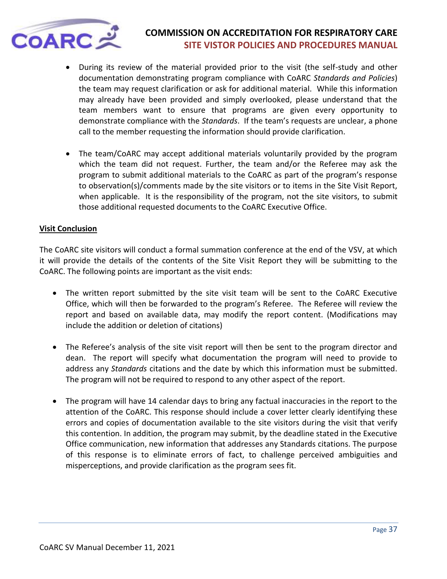

- During its review of the material provided prior to the visit (the self-study and other documentation demonstrating program compliance with CoARC *Standards and Policies*) the team may request clarification or ask for additional material. While this information may already have been provided and simply overlooked, please understand that the team members want to ensure that programs are given every opportunity to demonstrate compliance with the *Standards*. If the team's requests are unclear, a phone call to the member requesting the information should provide clarification.
- The team/CoARC may accept additional materials voluntarily provided by the program which the team did not request. Further, the team and/or the Referee may ask the program to submit additional materials to the CoARC as part of the program's response to observation(s)/comments made by the site visitors or to items in the Site Visit Report, when applicable. It is the responsibility of the program, not the site visitors, to submit those additional requested documents to the CoARC Executive Office.

#### **Visit Conclusion**

The CoARC site visitors will conduct a formal summation conference at the end of the VSV, at which it will provide the details of the contents of the Site Visit Report they will be submitting to the CoARC. The following points are important as the visit ends:

- The written report submitted by the site visit team will be sent to the CoARC Executive Office, which will then be forwarded to the program's Referee. The Referee will review the report and based on available data, may modify the report content. (Modifications may include the addition or deletion of citations)
- The Referee's analysis of the site visit report will then be sent to the program director and dean. The report will specify what documentation the program will need to provide to address any *Standards* citations and the date by which this information must be submitted. The program will not be required to respond to any other aspect of the report.
- The program will have 14 calendar days to bring any factual inaccuracies in the report to the attention of the CoARC. This response should include a cover letter clearly identifying these errors and copies of documentation available to the site visitors during the visit that verify this contention. In addition, the program may submit, by the deadline stated in the Executive Office communication, new information that addresses any Standards citations. The purpose of this response is to eliminate errors of fact, to challenge perceived ambiguities and misperceptions, and provide clarification as the program sees fit.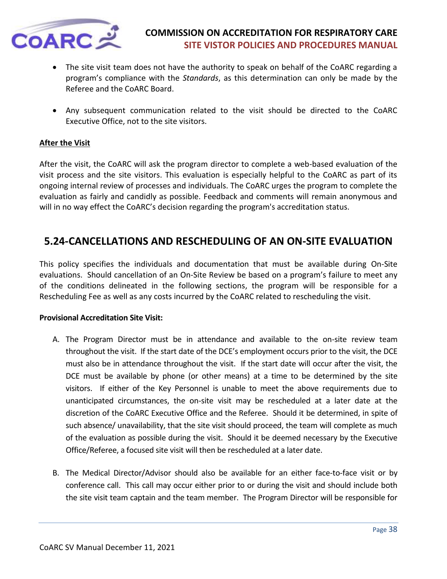

- The site visit team does not have the authority to speak on behalf of the CoARC regarding a program's compliance with the *Standards*, as this determination can only be made by the Referee and the CoARC Board.
- Any subsequent communication related to the visit should be directed to the CoARC Executive Office, not to the site visitors.

### **After the Visit**

After the visit, the CoARC will ask the program director to complete a web-based evaluation of the visit process and the site visitors. This evaluation is especially helpful to the CoARC as part of its ongoing internal review of processes and individuals. The CoARC urges the program to complete the evaluation as fairly and candidly as possible. Feedback and comments will remain anonymous and will in no way effect the CoARC's decision regarding the program's accreditation status.

# <span id="page-37-0"></span>**5.24-CANCELLATIONS AND RESCHEDULING OF AN ON-SITE EVALUATION**

This policy specifies the individuals and documentation that must be available during On-Site evaluations. Should cancellation of an On-Site Review be based on a program's failure to meet any of the conditions delineated in the following sections, the program will be responsible for a Rescheduling Fee as well as any costs incurred by the CoARC related to rescheduling the visit.

#### **Provisional Accreditation Site Visit:**

- A. The Program Director must be in attendance and available to the on-site review team throughout the visit. If the start date of the DCE's employment occurs prior to the visit, the DCE must also be in attendance throughout the visit. If the start date will occur after the visit, the DCE must be available by phone (or other means) at a time to be determined by the site visitors. If either of the Key Personnel is unable to meet the above requirements due to unanticipated circumstances, the on-site visit may be rescheduled at a later date at the discretion of the CoARC Executive Office and the Referee. Should it be determined, in spite of such absence/ unavailability, that the site visit should proceed, the team will complete as much of the evaluation as possible during the visit. Should it be deemed necessary by the Executive Office/Referee, a focused site visit will then be rescheduled at a later date.
- B. The Medical Director/Advisor should also be available for an either face-to-face visit or by conference call. This call may occur either prior to or during the visit and should include both the site visit team captain and the team member. The Program Director will be responsible for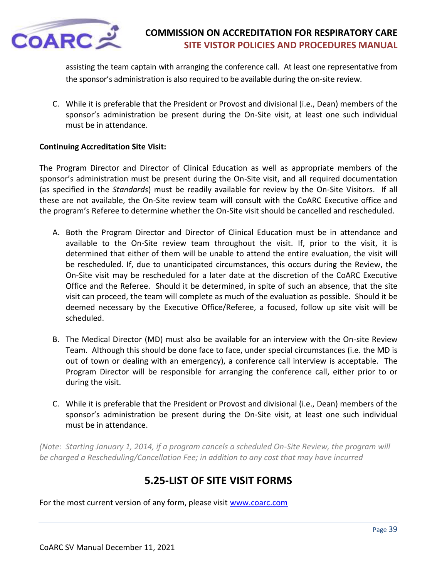

assisting the team captain with arranging the conference call. At least one representative from the sponsor's administration is also required to be available during the on-site review.

C. While it is preferable that the President or Provost and divisional (i.e., Dean) members of the sponsor's administration be present during the On-Site visit, at least one such individual must be in attendance.

### **Continuing Accreditation Site Visit:**

The Program Director and Director of Clinical Education as well as appropriate members of the sponsor's administration must be present during the On-Site visit, and all required documentation (as specified in the *Standards*) must be readily available for review by the On-Site Visitors. If all these are not available, the On-Site review team will consult with the CoARC Executive office and the program's Referee to determine whether the On-Site visit should be cancelled and rescheduled.

- A. Both the Program Director and Director of Clinical Education must be in attendance and available to the On-Site review team throughout the visit. If, prior to the visit, it is determined that either of them will be unable to attend the entire evaluation, the visit will be rescheduled. If, due to unanticipated circumstances, this occurs during the Review, the On-Site visit may be rescheduled for a later date at the discretion of the CoARC Executive Office and the Referee. Should it be determined, in spite of such an absence, that the site visit can proceed, the team will complete as much of the evaluation as possible. Should it be deemed necessary by the Executive Office/Referee, a focused, follow up site visit will be scheduled.
- B. The Medical Director (MD) must also be available for an interview with the On-site Review Team. Although this should be done face to face, under special circumstances (i.e. the MD is out of town or dealing with an emergency), a conference call interview is acceptable. The Program Director will be responsible for arranging the conference call, either prior to or during the visit.
- C. While it is preferable that the President or Provost and divisional (i.e., Dean) members of the sponsor's administration be present during the On-Site visit, at least one such individual must be in attendance.

*(Note: Starting January 1, 2014, if a program cancels a scheduled On-Site Review, the program will be charged a Rescheduling/Cancellation Fee; in addition to any cost that may have incurred*

# **5.25-LIST OF SITE VISIT FORMS**

<span id="page-38-0"></span>For the most current version of any form, please visit [www.coarc.com](http://www.coarc.com/)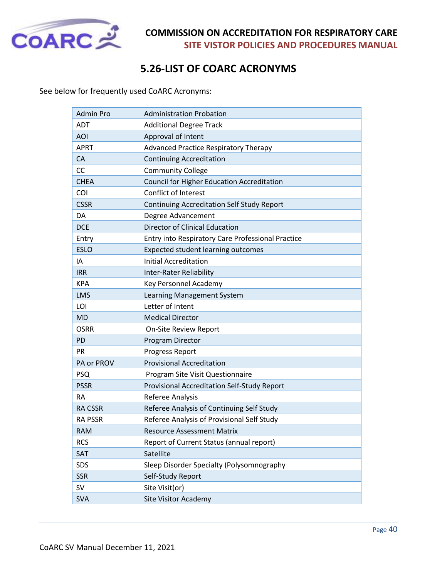

# **5.26-LIST OF COARC ACRONYMS**

<span id="page-39-0"></span>See below for frequently used CoARC Acronyms:

| <b>Admin Pro</b> | <b>Administration Probation</b>                   |
|------------------|---------------------------------------------------|
| <b>ADT</b>       | <b>Additional Degree Track</b>                    |
| <b>AOI</b>       | Approval of Intent                                |
| <b>APRT</b>      | <b>Advanced Practice Respiratory Therapy</b>      |
| CA               | <b>Continuing Accreditation</b>                   |
| <b>CC</b>        | <b>Community College</b>                          |
| <b>CHEA</b>      | Council for Higher Education Accreditation        |
| COI              | Conflict of Interest                              |
| <b>CSSR</b>      | <b>Continuing Accreditation Self Study Report</b> |
| DA               | Degree Advancement                                |
| <b>DCE</b>       | <b>Director of Clinical Education</b>             |
| Entry            | Entry into Respiratory Care Professional Practice |
| <b>ESLO</b>      | <b>Expected student learning outcomes</b>         |
| ΙA               | <b>Initial Accreditation</b>                      |
| <b>IRR</b>       | <b>Inter-Rater Reliability</b>                    |
| <b>KPA</b>       | Key Personnel Academy                             |
| <b>LMS</b>       | Learning Management System                        |
| LOI              | Letter of Intent                                  |
| <b>MD</b>        | <b>Medical Director</b>                           |
| <b>OSRR</b>      | <b>On-Site Review Report</b>                      |
| <b>PD</b>        | Program Director                                  |
| PR               | Progress Report                                   |
| PA or PROV       | <b>Provisional Accreditation</b>                  |
| <b>PSQ</b>       | Program Site Visit Questionnaire                  |
| <b>PSSR</b>      | Provisional Accreditation Self-Study Report       |
| <b>RA</b>        | Referee Analysis                                  |
| <b>RA CSSR</b>   | Referee Analysis of Continuing Self Study         |
| <b>RA PSSR</b>   | Referee Analysis of Provisional Self Study        |
| <b>RAM</b>       | <b>Resource Assessment Matrix</b>                 |
| <b>RCS</b>       | Report of Current Status (annual report)          |
| SAT              | Satellite                                         |
| SDS              | Sleep Disorder Specialty (Polysomnography         |
| <b>SSR</b>       | Self-Study Report                                 |
| <b>SV</b>        | Site Visit(or)                                    |
| <b>SVA</b>       | <b>Site Visitor Academy</b>                       |